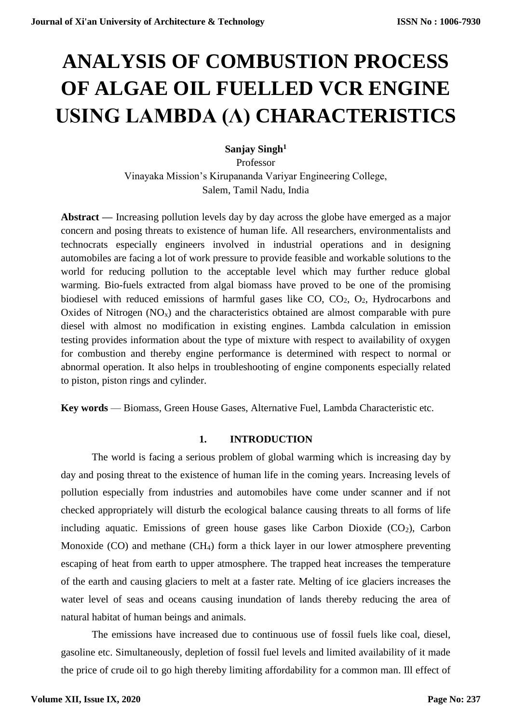# **ANALYSIS OF COMBUSTION PROCESS OF ALGAE OIL FUELLED VCR ENGINE USING LAMBDA (Λ) CHARACTERISTICS**

**Sanjay Singh<sup>1</sup>**

Professor Vinayaka Mission's Kirupananda Variyar Engineering College, Salem, Tamil Nadu, India

**Abstract —** Increasing pollution levels day by day across the globe have emerged as a major concern and posing threats to existence of human life. All researchers, environmentalists and technocrats especially engineers involved in industrial operations and in designing automobiles are facing a lot of work pressure to provide feasible and workable solutions to the world for reducing pollution to the acceptable level which may further reduce global warming. Bio-fuels extracted from algal biomass have proved to be one of the promising biodiesel with reduced emissions of harmful gases like CO, CO2, O2, Hydrocarbons and Oxides of Nitrogen  $(NO_x)$  and the characteristics obtained are almost comparable with pure diesel with almost no modification in existing engines. Lambda calculation in emission testing provides information about the type of mixture with respect to availability of oxygen for combustion and thereby engine performance is determined with respect to normal or abnormal operation. It also helps in troubleshooting of engine components especially related to piston, piston rings and cylinder.

**Key words** — Biomass, Green House Gases, Alternative Fuel, Lambda Characteristic etc.

#### **1. INTRODUCTION**

The world is facing a serious problem of global warming which is increasing day by day and posing threat to the existence of human life in the coming years. Increasing levels of pollution especially from industries and automobiles have come under scanner and if not checked appropriately will disturb the ecological balance causing threats to all forms of life including aquatic. Emissions of green house gases like Carbon Dioxide  $(CO<sub>2</sub>)$ , Carbon Monoxide (CO) and methane (CH4) form a thick layer in our lower atmosphere preventing escaping of heat from earth to upper atmosphere. The trapped heat increases the temperature of the earth and causing glaciers to melt at a faster rate. Melting of ice glaciers increases the water level of seas and oceans causing inundation of lands thereby reducing the area of natural habitat of human beings and animals.

The emissions have increased due to continuous use of fossil fuels like coal, diesel, gasoline etc. Simultaneously, depletion of fossil fuel levels and limited availability of it made the price of crude oil to go high thereby limiting affordability for a common man. Ill effect of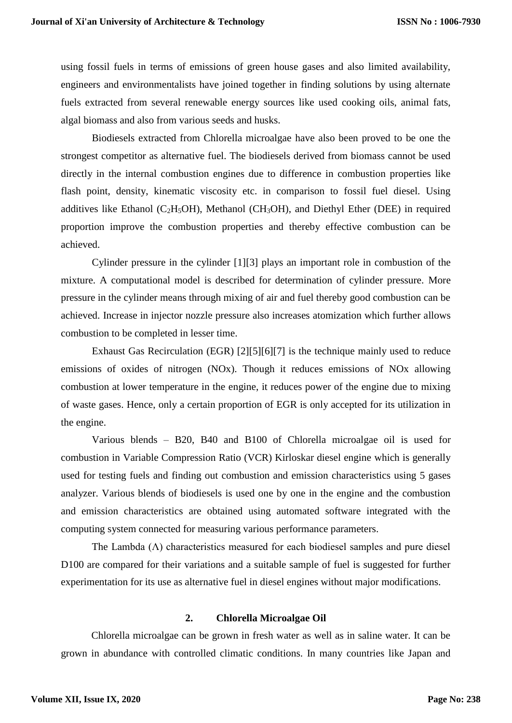using fossil fuels in terms of emissions of green house gases and also limited availability, engineers and environmentalists have joined together in finding solutions by using alternate fuels extracted from several renewable energy sources like used cooking oils, animal fats, algal biomass and also from various seeds and husks.

Biodiesels extracted from Chlorella microalgae have also been proved to be one the strongest competitor as alternative fuel. The biodiesels derived from biomass cannot be used directly in the internal combustion engines due to difference in combustion properties like flash point, density, kinematic viscosity etc. in comparison to fossil fuel diesel. Using additives like Ethanol ( $C_2H_5OH$ ), Methanol ( $CH_3OH$ ), and Diethyl Ether (DEE) in required proportion improve the combustion properties and thereby effective combustion can be achieved.

Cylinder pressure in the cylinder [1][3] plays an important role in combustion of the mixture. A computational model is described for determination of cylinder pressure. More pressure in the cylinder means through mixing of air and fuel thereby good combustion can be achieved. Increase in injector nozzle pressure also increases atomization which further allows combustion to be completed in lesser time.

Exhaust Gas Recirculation (EGR) [2][5][6][7] is the technique mainly used to reduce emissions of oxides of nitrogen (NOx). Though it reduces emissions of NOx allowing combustion at lower temperature in the engine, it reduces power of the engine due to mixing of waste gases. Hence, only a certain proportion of EGR is only accepted for its utilization in the engine.

Various blends – B20, B40 and B100 of Chlorella microalgae oil is used for combustion in Variable Compression Ratio (VCR) Kirloskar diesel engine which is generally used for testing fuels and finding out combustion and emission characteristics using 5 gases analyzer. Various blends of biodiesels is used one by one in the engine and the combustion and emission characteristics are obtained using automated software integrated with the computing system connected for measuring various performance parameters.

The Lambda  $(\Lambda)$  characteristics measured for each biodiesel samples and pure diesel D100 are compared for their variations and a suitable sample of fuel is suggested for further experimentation for its use as alternative fuel in diesel engines without major modifications.

#### **2. Chlorella Microalgae Oil**

Chlorella microalgae can be grown in fresh water as well as in saline water. It can be grown in abundance with controlled climatic conditions. In many countries like Japan and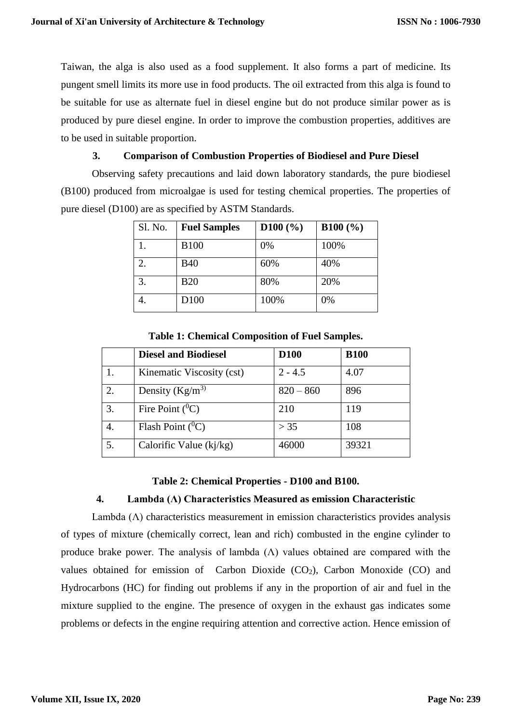Taiwan, the alga is also used as a food supplement. It also forms a part of medicine. Its pungent smell limits its more use in food products. The oil extracted from this alga is found to be suitable for use as alternate fuel in diesel engine but do not produce similar power as is produced by pure diesel engine. In order to improve the combustion properties, additives are to be used in suitable proportion.

# **3. Comparison of Combustion Properties of Biodiesel and Pure Diesel**

Observing safety precautions and laid down laboratory standards, the pure biodiesel (B100) produced from microalgae is used for testing chemical properties. The properties of pure diesel (D100) are as specified by ASTM Standards.

| Sl. No. | <b>Fuel Samples</b> | D100 (%) | B100 (%) |
|---------|---------------------|----------|----------|
|         | <b>B100</b>         | 0%       | 100%     |
| 2.      | <b>B40</b>          | 60%      | 40%      |
| 3.      | <b>B20</b>          | 80%      | 20%      |
|         | D <sub>100</sub>    | 100%     | 0%       |

|    | <b>Diesel and Biodiesel</b> | <b>D100</b> | <b>B100</b> |
|----|-----------------------------|-------------|-------------|
|    | Kinematic Viscosity (cst)   | $2 - 4.5$   | 4.07        |
| 2. | Density $(Kg/m^3)$          | $820 - 860$ | 896         |
| 3. | Fire Point $(^0C)$          | 210         | 119         |
| 4. | Flash Point $(^0C)$         | > 35        | 108         |
| 5. | Calorific Value $(ki/kg)$   | 46000       | 39321       |

**Table 1: Chemical Composition of Fuel Samples.**

#### **Table 2: Chemical Properties - D100 and B100.**

#### **4. Lambda (Λ) Characteristics Measured as emission Characteristic**

Lambda (Λ) characteristics measurement in emission characteristics provides analysis of types of mixture (chemically correct, lean and rich) combusted in the engine cylinder to produce brake power. The analysis of lambda  $(Λ)$  values obtained are compared with the values obtained for emission of Carbon Dioxide  $(CO<sub>2</sub>)$ , Carbon Monoxide  $(CO)$  and Hydrocarbons (HC) for finding out problems if any in the proportion of air and fuel in the mixture supplied to the engine. The presence of oxygen in the exhaust gas indicates some problems or defects in the engine requiring attention and corrective action. Hence emission of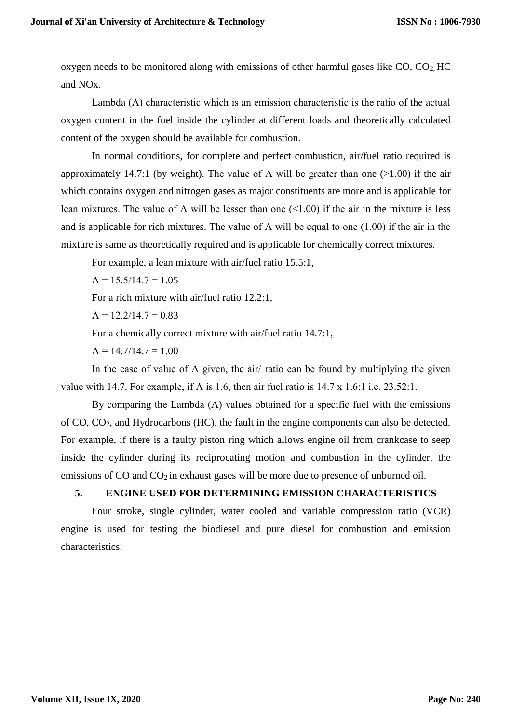oxygen needs to be monitored along with emissions of other harmful gases like  $CO$ ,  $CO<sub>2</sub>$  HC and NOx.

Lambda  $(\Lambda)$  characteristic which is an emission characteristic is the ratio of the actual oxygen content in the fuel inside the cylinder at different loads and theoretically calculated content of the oxygen should be available for combustion.

In normal conditions, for complete and perfect combustion, air/fuel ratio required is approximately 14.7:1 (by weight). The value of  $\Lambda$  will be greater than one (>1.00) if the air which contains oxygen and nitrogen gases as major constituents are more and is applicable for lean mixtures. The value of  $\Lambda$  will be lesser than one (<1.00) if the air in the mixture is less and is applicable for rich mixtures. The value of  $\Lambda$  will be equal to one (1.00) if the air in the mixture is same as theoretically required and is applicable for chemically correct mixtures.

For example, a lean mixture with air/fuel ratio 15.5:1,

 $\Lambda = 15.5/14.7 = 1.05$ 

For a rich mixture with air/fuel ratio 12.2:1,

 $\Lambda = 12.2/14.7 = 0.83$ 

For a chemically correct mixture with air/fuel ratio 14.7:1,

 $\Lambda = 14.7/14.7 = 1.00$ 

In the case of value of  $\Lambda$  given, the air/ ratio can be found by multiplying the given value with 14.7. For example, if  $\Lambda$  is 1.6, then air fuel ratio is 14.7 x 1.6:1 i.e. 23.52:1.

By comparing the Lambda  $(\Lambda)$  values obtained for a specific fuel with the emissions of CO, CO2, and Hydrocarbons (HC), the fault in the engine components can also be detected. For example, if there is a faulty piston ring which allows engine oil from crankcase to seep inside the cylinder during its reciprocating motion and combustion in the cylinder, the emissions of CO and CO<sub>2</sub> in exhaust gases will be more due to presence of unburned oil.

### **5. ENGINE USED FOR DETERMINING EMISSION CHARACTERISTICS**

Four stroke, single cylinder, water cooled and variable compression ratio (VCR) engine is used for testing the biodiesel and pure diesel for combustion and emission characteristics.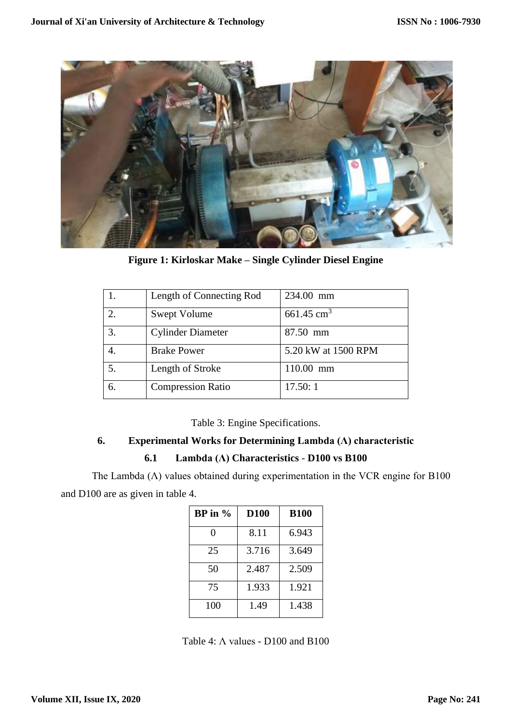

**Figure 1: Kirloskar Make – Single Cylinder Diesel Engine**

|    | Length of Connecting Rod | 234.00 mm                |
|----|--------------------------|--------------------------|
|    | Swept Volume             | $661.45$ cm <sup>3</sup> |
| 3. | <b>Cylinder Diameter</b> | 87.50 mm                 |
|    | <b>Brake Power</b>       | 5.20 kW at 1500 RPM      |
| 5. | Length of Stroke         | 110.00 mm                |
| 6. | <b>Compression Ratio</b> | 17.50:1                  |

Table 3: Engine Specifications.

# **6. Experimental Works for Determining Lambda (Λ) characteristic**

# **6.1 Lambda (Λ) Characteristics** - **D100 vs B100**

The Lambda  $(\Lambda)$  values obtained during experimentation in the VCR engine for B100 and D100 are as given in table 4.

| BP in $%$ | <b>D100</b> | <b>B100</b> |
|-----------|-------------|-------------|
| 0         | 8.11        | 6.943       |
| 25        | 3.716       | 3.649       |
| 50        | 2.487       | 2.509       |
| 75        | 1.933       | 1.921       |
| 100       | 1.49        | 1.438       |

Table 4: Λ values - D100 and B100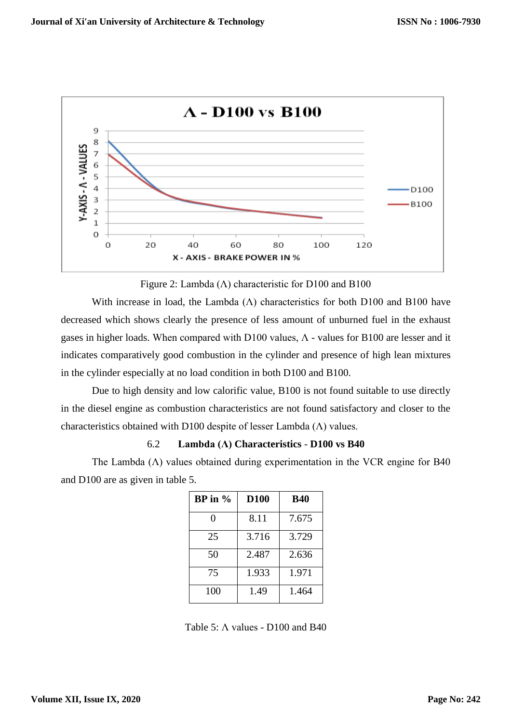

Figure 2: Lambda ( $\Lambda$ ) characteristic for D100 and B100

With increase in load, the Lambda  $(\Lambda)$  characteristics for both D100 and B100 have decreased which shows clearly the presence of less amount of unburned fuel in the exhaust gases in higher loads. When compared with D100 values,  $\Lambda$  - values for B100 are lesser and it indicates comparatively good combustion in the cylinder and presence of high lean mixtures in the cylinder especially at no load condition in both D100 and B100.

Due to high density and low calorific value, B100 is not found suitable to use directly in the diesel engine as combustion characteristics are not found satisfactory and closer to the characteristics obtained with D100 despite of lesser Lambda (Λ) values.

#### 6.2 **Lambda (Λ) Characteristics** - **D100 vs B40**

The Lambda  $(\Lambda)$  values obtained during experimentation in the VCR engine for B40 and D100 are as given in table 5.

| $BP$ in $\%$ | <b>D100</b> | <b>B40</b> |
|--------------|-------------|------------|
| 0            | 8.11        | 7.675      |
| 25           | 3.716       | 3.729      |
| 50           | 2.487       | 2.636      |
| 75           | 1.933       | 1.971      |
| 100          | 1.49        | 1.464      |

Table 5: Λ values - D100 and B40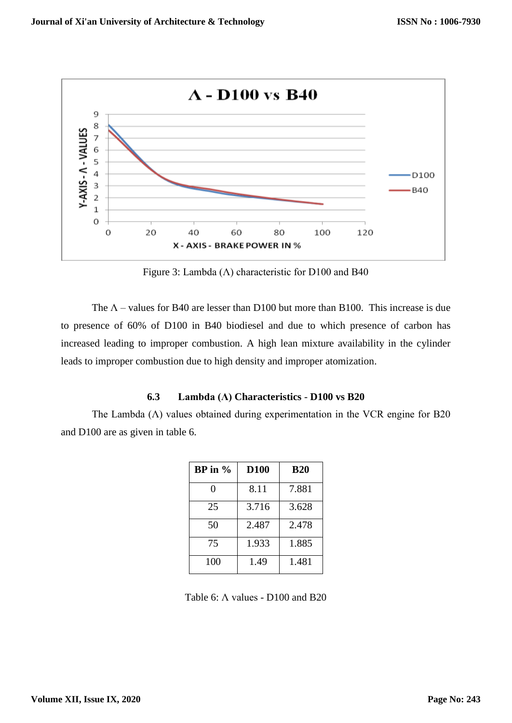

Figure 3: Lambda ( $\Lambda$ ) characteristic for D100 and B40

The  $\Lambda$  – values for B40 are lesser than D100 but more than B100. This increase is due to presence of 60% of D100 in B40 biodiesel and due to which presence of carbon has increased leading to improper combustion. A high lean mixture availability in the cylinder leads to improper combustion due to high density and improper atomization.

#### **6.3 Lambda (Λ) Characteristics** - **D100 vs B20**

The Lambda  $(\Lambda)$  values obtained during experimentation in the VCR engine for B20 and D100 are as given in table 6.

| $BP$ in $\%$ | <b>D100</b> | <b>B20</b> |
|--------------|-------------|------------|
| 0            | 8.11        | 7.881      |
| 25           | 3.716       | 3.628      |
| 50           | 2.487       | 2.478      |
| 75           | 1.933       | 1.885      |
| 100          | 1.49        | 1.481      |

Table 6: Λ values - D100 and B20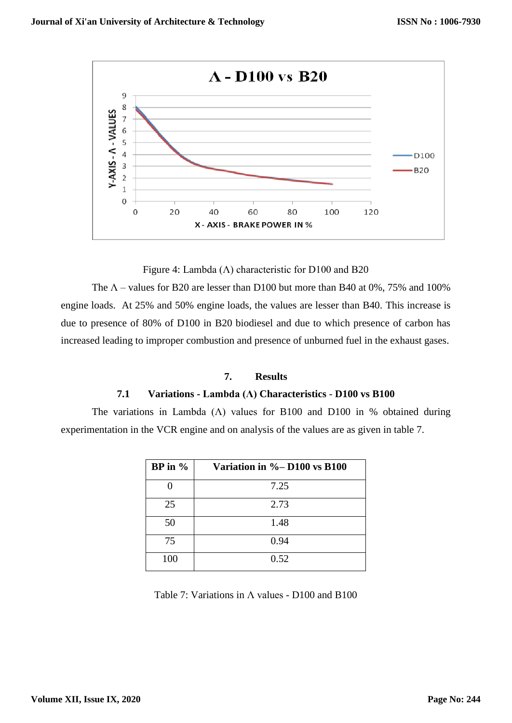

Figure 4: Lambda ( $\Lambda$ ) characteristic for D100 and B20

The  $\Lambda$  – values for B20 are lesser than D100 but more than B40 at 0%, 75% and 100% engine loads. At 25% and 50% engine loads, the values are lesser than B40. This increase is due to presence of 80% of D100 in B20 biodiesel and due to which presence of carbon has increased leading to improper combustion and presence of unburned fuel in the exhaust gases.

#### **7. Results**

#### **7.1 Variations - Lambda (Λ) Characteristics** - **D100 vs B100**

The variations in Lambda ( $\Lambda$ ) values for B100 and D100 in % obtained during experimentation in the VCR engine and on analysis of the values are as given in table 7.

| $BP$ in $\%$ | Variation in $\%$ -D100 vs B100 |
|--------------|---------------------------------|
|              | 7.25                            |
| 25           | 2.73                            |
| 50           | 1.48                            |
| 75           | 0.94                            |
| 100          | 0.52                            |

Table 7: Variations in Λ values - D100 and B100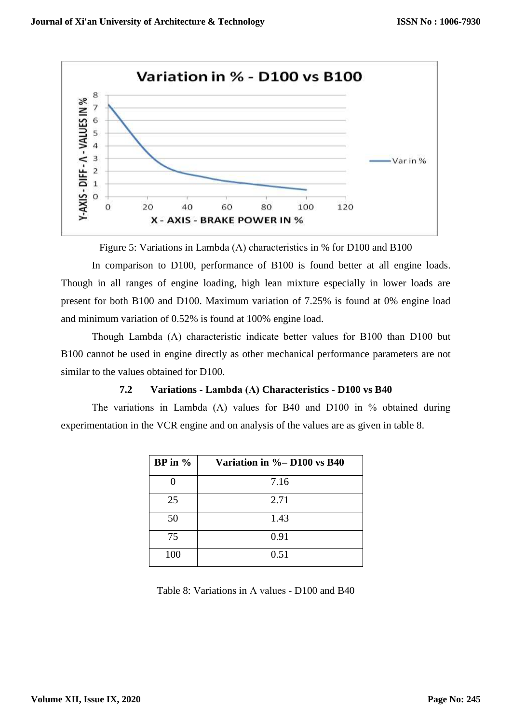

Figure 5: Variations in Lambda ( $\Lambda$ ) characteristics in % for D100 and B100

In comparison to D100, performance of B100 is found better at all engine loads. Though in all ranges of engine loading, high lean mixture especially in lower loads are present for both B100 and D100. Maximum variation of 7.25% is found at 0% engine load and minimum variation of 0.52% is found at 100% engine load.

Though Lambda (Λ) characteristic indicate better values for B100 than D100 but B100 cannot be used in engine directly as other mechanical performance parameters are not similar to the values obtained for D100.

# **7.2 Variations - Lambda (Λ) Characteristics** - **D100 vs B40**

The variations in Lambda ( $\Lambda$ ) values for B40 and D100 in % obtained during experimentation in the VCR engine and on analysis of the values are as given in table 8.

| $BP$ in $\%$ | Variation in %-D100 vs B40 |
|--------------|----------------------------|
|              | 7.16                       |
| 25           | 2.71                       |
| 50           | 1.43                       |
| 75           | 0.91                       |
| 100          | 0.51                       |

Table 8: Variations in  $\Lambda$  values - D100 and B40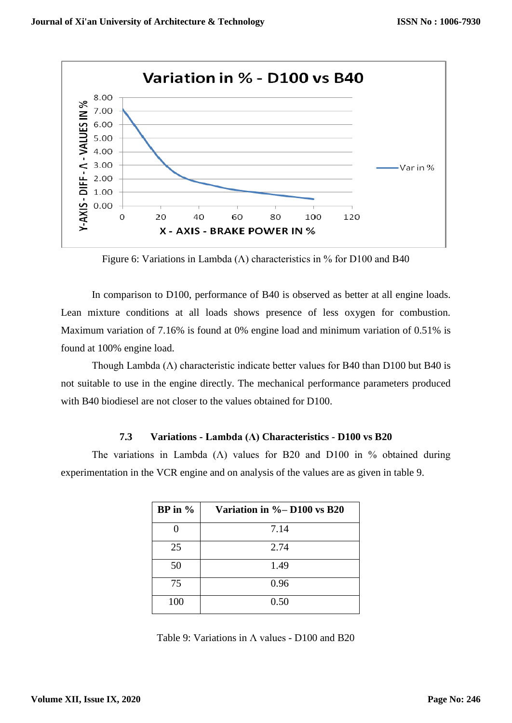

Figure 6: Variations in Lambda ( $\Lambda$ ) characteristics in % for D100 and B40

In comparison to D100, performance of B40 is observed as better at all engine loads. Lean mixture conditions at all loads shows presence of less oxygen for combustion. Maximum variation of 7.16% is found at 0% engine load and minimum variation of 0.51% is found at 100% engine load.

Though Lambda ( $\Lambda$ ) characteristic indicate better values for B40 than D100 but B40 is not suitable to use in the engine directly. The mechanical performance parameters produced with B40 biodiesel are not closer to the values obtained for D100.

#### **7.3 Variations - Lambda (Λ) Characteristics** - **D100 vs B20**

The variations in Lambda ( $\Lambda$ ) values for B20 and D100 in % obtained during experimentation in the VCR engine and on analysis of the values are as given in table 9.

| $BP$ in $\%$ | Variation in $\%$ -D100 vs B20 |
|--------------|--------------------------------|
|              | 7.14                           |
| 25           | 2.74                           |
| 50           | 1.49                           |
| 75           | 0.96                           |
| 100          | 0.50                           |

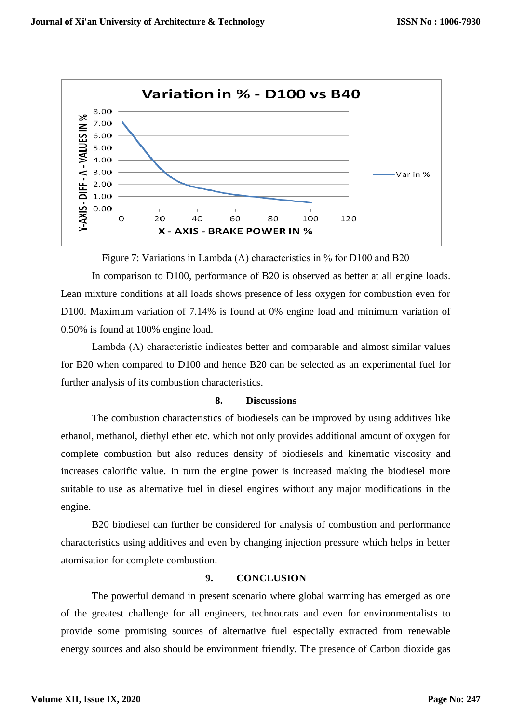

Figure 7: Variations in Lambda ( $\Lambda$ ) characteristics in % for D100 and B20

In comparison to D100, performance of B20 is observed as better at all engine loads. Lean mixture conditions at all loads shows presence of less oxygen for combustion even for D100. Maximum variation of 7.14% is found at 0% engine load and minimum variation of 0.50% is found at 100% engine load.

Lambda  $(\Lambda)$  characteristic indicates better and comparable and almost similar values for B20 when compared to D100 and hence B20 can be selected as an experimental fuel for further analysis of its combustion characteristics.

#### **8. Discussions**

The combustion characteristics of biodiesels can be improved by using additives like ethanol, methanol, diethyl ether etc. which not only provides additional amount of oxygen for complete combustion but also reduces density of biodiesels and kinematic viscosity and increases calorific value. In turn the engine power is increased making the biodiesel more suitable to use as alternative fuel in diesel engines without any major modifications in the engine.

B20 biodiesel can further be considered for analysis of combustion and performance characteristics using additives and even by changing injection pressure which helps in better atomisation for complete combustion.

#### **9. CONCLUSION**

The powerful demand in present scenario where global warming has emerged as one of the greatest challenge for all engineers, technocrats and even for environmentalists to provide some promising sources of alternative fuel especially extracted from renewable energy sources and also should be environment friendly. The presence of Carbon dioxide gas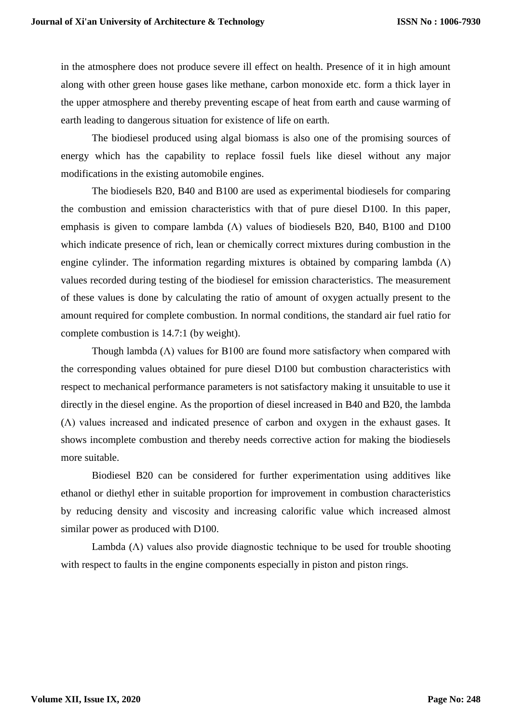in the atmosphere does not produce severe ill effect on health. Presence of it in high amount along with other green house gases like methane, carbon monoxide etc. form a thick layer in the upper atmosphere and thereby preventing escape of heat from earth and cause warming of earth leading to dangerous situation for existence of life on earth.

The biodiesel produced using algal biomass is also one of the promising sources of energy which has the capability to replace fossil fuels like diesel without any major modifications in the existing automobile engines.

The biodiesels B20, B40 and B100 are used as experimental biodiesels for comparing the combustion and emission characteristics with that of pure diesel D100. In this paper, emphasis is given to compare lambda  $(Λ)$  values of biodiesels B20, B40, B100 and D100 which indicate presence of rich, lean or chemically correct mixtures during combustion in the engine cylinder. The information regarding mixtures is obtained by comparing lambda  $(Λ)$ values recorded during testing of the biodiesel for emission characteristics. The measurement of these values is done by calculating the ratio of amount of oxygen actually present to the amount required for complete combustion. In normal conditions, the standard air fuel ratio for complete combustion is 14.7:1 (by weight).

Though lambda  $(\Lambda)$  values for B100 are found more satisfactory when compared with the corresponding values obtained for pure diesel D100 but combustion characteristics with respect to mechanical performance parameters is not satisfactory making it unsuitable to use it directly in the diesel engine. As the proportion of diesel increased in B40 and B20, the lambda (Λ) values increased and indicated presence of carbon and oxygen in the exhaust gases. It shows incomplete combustion and thereby needs corrective action for making the biodiesels more suitable.

Biodiesel B20 can be considered for further experimentation using additives like ethanol or diethyl ether in suitable proportion for improvement in combustion characteristics by reducing density and viscosity and increasing calorific value which increased almost similar power as produced with D100.

Lambda  $(\Lambda)$  values also provide diagnostic technique to be used for trouble shooting with respect to faults in the engine components especially in piston and piston rings.